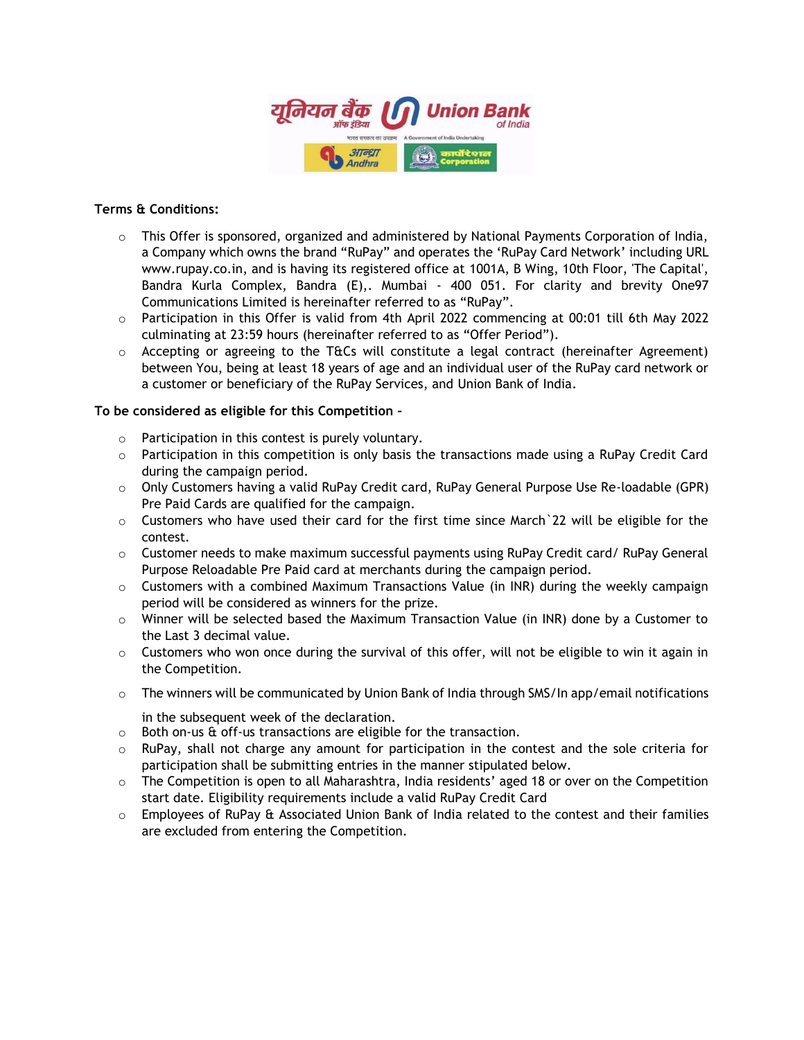

## **Terms & Conditions:**

- $\circ$  This Offer is sponsored, organized and administered by National Payments Corporation of India, a Company which owns the brand "RuPay" and operates the 'RuPay Card Network' including URL www.rupay.co.in, and is having its registered office at 1001A, B Wing, 10th Floor, 'The Capital', Bandra Kurla Complex, Bandra (E),. Mumbai - 400 051. For clarity and brevity One97 Communications Limited is hereinafter referred to as "RuPay".
- o Participation in this Offer is valid from 4th April 2022 commencing at 00:01 till 6th May 2022 culminating at 23:59 hours (hereinafter referred to as "Offer Period").
- $\circ$  Accepting or agreeing to the T&Cs will constitute a legal contract (hereinafter Agreement) between You, being at least 18 years of age and an individual user of the RuPay card network or a customer or beneficiary of the RuPay Services, and Union Bank of India.

## **To be considered as eligible for this Competition –**

- o Participation in this contest is purely voluntary.
- $\circ$  Participation in this competition is only basis the transactions made using a RuPay Credit Card during the campaign period.
- $\circ$  Only Customers having a valid RuPay Credit card, RuPay General Purpose Use Re-loadable (GPR) Pre Paid Cards are qualified for the campaign.
- $\circ$  Customers who have used their card for the first time since March 22 will be eligible for the contest.
- $\circ$  Customer needs to make maximum successful payments using RuPay Credit card/RuPay General Purpose Reloadable Pre Paid card at merchants during the campaign period.
- $\circ$  Customers with a combined Maximum Transactions Value (in INR) during the weekly campaign period will be considered as winners for the prize.
- $\circ$  Winner will be selected based the Maximum Transaction Value (in INR) done by a Customer to the Last 3 decimal value.
- $\circ$  Customers who won once during the survival of this offer, will not be eligible to win it again in the Competition.
- $\circ$  The winners will be communicated by Union Bank of India through SMS/In app/email notifications in the subsequent week of the declaration.
- o Both on-us & off-us transactions are eligible for the transaction.
- $\circ$  RuPay, shall not charge any amount for participation in the contest and the sole criteria for participation shall be submitting entries in the manner stipulated below.
- $\circ$  The Competition is open to all Maharashtra, India residents' aged 18 or over on the Competition start date. Eligibility requirements include a valid RuPay Credit Card
- $\circ$  Employees of RuPay & Associated Union Bank of India related to the contest and their families are excluded from entering the Competition.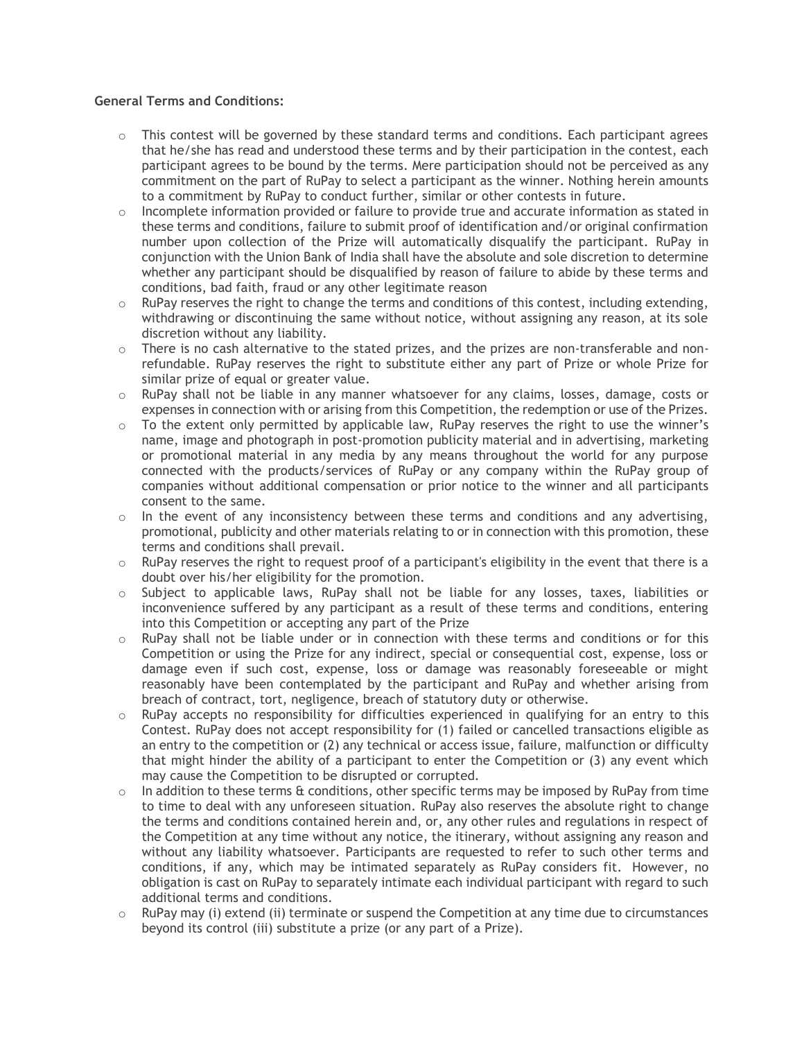## **General Terms and Conditions:**

- $\circ$  This contest will be governed by these standard terms and conditions. Each participant agrees that he/she has read and understood these terms and by their participation in the contest, each participant agrees to be bound by the terms. Mere participation should not be perceived as any commitment on the part of RuPay to select a participant as the winner. Nothing herein amounts to a commitment by RuPay to conduct further, similar or other contests in future.
- $\circ$  Incomplete information provided or failure to provide true and accurate information as stated in these terms and conditions, failure to submit proof of identification and/or original confirmation number upon collection of the Prize will automatically disqualify the participant. RuPay in conjunction with the Union Bank of India shall have the absolute and sole discretion to determine whether any participant should be disqualified by reason of failure to abide by these terms and conditions, bad faith, fraud or any other legitimate reason
- o RuPay reserves the right to change the terms and conditions of this contest, including extending, withdrawing or discontinuing the same without notice, without assigning any reason, at its sole discretion without any liability.
- o There is no cash alternative to the stated prizes, and the prizes are non-transferable and nonrefundable. RuPay reserves the right to substitute either any part of Prize or whole Prize for similar prize of equal or greater value.
- $\circ$  RuPay shall not be liable in any manner whatsoever for any claims, losses, damage, costs or expenses in connection with or arising from this Competition, the redemption or use of the Prizes.
- $\circ$  To the extent only permitted by applicable law, RuPay reserves the right to use the winner's name, image and photograph in post-promotion publicity material and in advertising, marketing or promotional material in any media by any means throughout the world for any purpose connected with the products/services of RuPay or any company within the RuPay group of companies without additional compensation or prior notice to the winner and all participants consent to the same.
- $\circ$  In the event of any inconsistency between these terms and conditions and any advertising, promotional, publicity and other materials relating to or in connection with this promotion, these terms and conditions shall prevail.
- $\circ$  RuPay reserves the right to request proof of a participant's eligibility in the event that there is a doubt over his/her eligibility for the promotion.
- $\circ$  Subject to applicable laws, RuPay shall not be liable for any losses, taxes, liabilities or inconvenience suffered by any participant as a result of these terms and conditions, entering into this Competition or accepting any part of the Prize
- $\circ$  RuPay shall not be liable under or in connection with these terms and conditions or for this Competition or using the Prize for any indirect, special or consequential cost, expense, loss or damage even if such cost, expense, loss or damage was reasonably foreseeable or might reasonably have been contemplated by the participant and RuPay and whether arising from breach of contract, tort, negligence, breach of statutory duty or otherwise.
- $\circ$  RuPay accepts no responsibility for difficulties experienced in qualifying for an entry to this Contest. RuPay does not accept responsibility for (1) failed or cancelled transactions eligible as an entry to the competition or (2) any technical or access issue, failure, malfunction or difficulty that might hinder the ability of a participant to enter the Competition or (3) any event which may cause the Competition to be disrupted or corrupted.
- $\circ$  In addition to these terms & conditions, other specific terms may be imposed by RuPay from time to time to deal with any unforeseen situation. RuPay also reserves the absolute right to change the terms and conditions contained herein and, or, any other rules and regulations in respect of the Competition at any time without any notice, the itinerary, without assigning any reason and without any liability whatsoever. Participants are requested to refer to such other terms and conditions, if any, which may be intimated separately as RuPay considers fit. However, no obligation is cast on RuPay to separately intimate each individual participant with regard to such additional terms and conditions.
- $\circ$  RuPay may (i) extend (ii) terminate or suspend the Competition at any time due to circumstances beyond its control (iii) substitute a prize (or any part of a Prize).